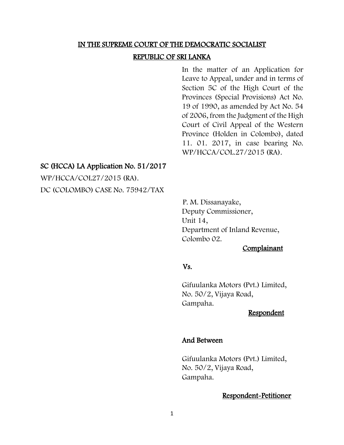## IN THE SUPREME COURT OF THE DEMOCRATIC SOCIALIST

#### REPUBLIC OF SRI LANKA

In the matter of an Application for Leave to Appeal, under and in terms of Section 5C of the High Court of the Provinces (Special Provisions) Act No. 19 of 1990, as amended by Act No. 54 of 2006, from the Judgment of the High Court of Civil Appeal of the Western Province (Holden in Colombo), dated 11. 01. 2017, in case bearing No. WP/HCCA/COL.27/2015 (RA).

## SC (HCCA) LA Application No. 51/2017

WP/HCCA/COL27/2015 (RA). DC (COLOMBO) CASE No. 75942/TAX

> P. M. Dissanayake, Deputy Commissioner, Unit 14, Department of Inland Revenue, Colombo 02.

## Complainant

## Vs.

Gifuulanka Motors (Pvt.) Limited, No. 50/2, Vijaya Road, Gampaha.

### Respondent

### And Between

 Gifuulanka Motors (Pvt.) Limited, No. 50/2, Vijaya Road, Gampaha.

## Respondent-Petitioner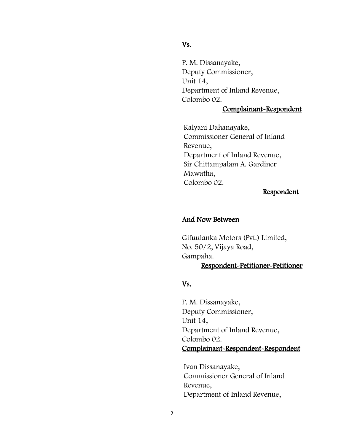## Vs.

P. M. Dissanayake, Deputy Commissioner, Unit 14, Department of Inland Revenue, Colombo 02.

## Complainant -Respondent

Kalyani Dahanayake, Commissioner General of Inland Revenue, Department of Inland Revenue, Sir Chittampalam A. Gardiner Mawatha, Colombo 02.

## Respondent

## And Now Between

Gifuulanka Motors (Pvt.) Limited, No. 50/2, Vijaya Road, Gampaha.<br>Respondent Respondent-Petitioner-Petitioner<br>Vs.<br>P. M. Dissanayake,

Deputy Commissioner, Unit 14, Department of Inland Revenue, Colombo 02. Complainant -Respondent -Respondent

Ivan Dissanayake, Commissioner General of Inland Revenue, Department of Inland Revenue,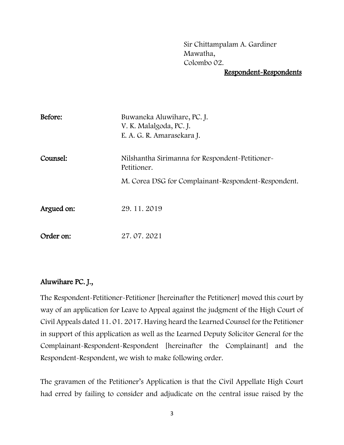Sir Chittampalam A. Gardiner Mawatha, Colombo 02.

# Respondent-Respondents

| Before:    | Buwaneka Aluwihare, PC. J.<br>V. K. Malalgoda, PC. J.<br>E. A. G. R. Amarasekara J. |
|------------|-------------------------------------------------------------------------------------|
| Counsel:   | Nilshantha Sirimanna for Respondent-Petitioner-<br>Petitioner.                      |
|            | M. Corea DSG for Complainant-Respondent-Respondent.                                 |
|            |                                                                                     |
| Argued on: | 29.11.2019                                                                          |
|            |                                                                                     |
| Order on:  | 27.07.2021                                                                          |

# Aluwihare PC. J.,

The Respondent-Petitioner-Petitioner [hereinafter the Petitioner] moved this court by way of an application for Leave to Appeal against the judgment of the High Court of Civil Appeals dated 11. 01. 2017. Having heard the Learned Counsel for the Petitioner in support of this application as well as the Learned Deputy Solicitor General for the Complainant-Respondent-Respondent [hereinafter the Complainant] and the Respondent-Respondent, we wish to make following order.

The gravamen of the Petitioner's Application is that the Civil Appellate High Court had erred by failing to consider and adjudicate on the central issue raised by the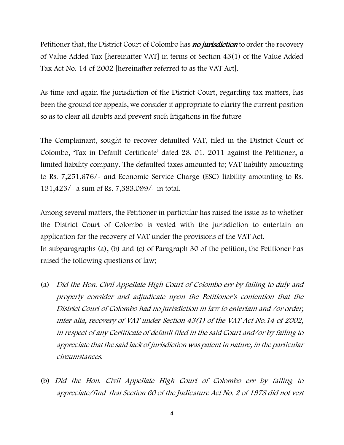Petitioner that, the District Court of Colombo has **no jurisdiction** to order the recovery of Value Added Tax [hereinafter VAT] in terms of Section 43(1) of the Value Added Tax Act No. 14 of 2002 [hereinafter referred to as the VAT Act].

As time and again the jurisdiction of the District Court, regarding tax matters, has been the ground for appeals, we consider it appropriate to clarify the current position so as to clear all doubts and prevent such litigations in the future

The Complainant, sought to recover defaulted VAT, filed in the District Court of Colombo, 'Tax in Default Certificate' dated 28. 01. 2011 against the Petitioner, a limited liability company. The defaulted taxes amounted to; VAT liability amounting to Rs. 7,251,676/- and Economic Service Charge (ESC) liability amounting to Rs. 131,423/- a sum of Rs. 7,383,099/- in total.

Among several matters, the Petitioner in particular has raised the issue as to whether the District Court of Colombo is vested with the jurisdiction to entertain an application for the recovery of VAT under the provisions of the VAT Act. In subparagraphs (a), (b) and (c) of Paragraph 30 of the petition, the Petitioner has raised the following questions of law;

- (a) Did the Hon. Civil Appellate High Court of Colombo err by failing to duly and properly consider and adjudicate upon the Petitioner's contention that the District Court of Colombo had no jurisdiction in law to entertain and /or order, inter alia, recovery of VAT under Section 43(1) of the VAT Act No.14 of 2002, in respect of any Certificate of default filed in the said Court and/or by failing to appreciate that the said lack of jurisdiction was patent in nature, in the particular circumstances.
- (b) Did the Hon. Civil Appellate High Court of Colombo err by failing to appreciate/find that Section 60 of the Judicature Act No. 2 of 1978 did not vest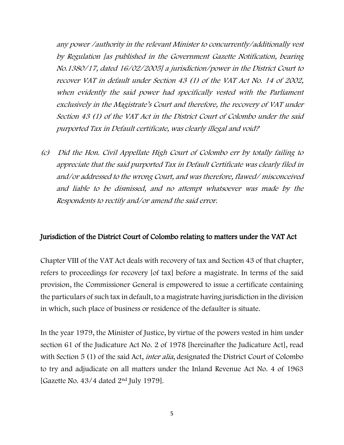any power /authority in the relevant Minister to concurrently/additionally vest by Regulation [as published in the Government Gazette Notification, bearing No.1380/17, dated 16/02/2005] a jurisdiction/power in the District Court to recover VAT in default under Section 43 (1) of the VAT Act No. 14 of 2002, when evidently the said power had specifically vested with the Parliament exclusively in the Magistrate's Court and therefore, the recovery of VAT under Section 43 (1) of the VAT Act in the District Court of Colombo under the said purported Tax in Default certificate, was clearly illegal and void?

(c) Did the Hon. Civil Appellate High Court of Colombo err by totally failing to appreciate that the said purported Tax in Default Certificate was clearly filed in and/or addressed to the wrong Court, and was therefore, flawed/ misconceived and liable to be dismissed, and no attempt whatsoever was made by the Respondents to rectify and/or amend the said error.

## Jurisdiction of the District Court of Colombo relating to matters under the VAT Act

Chapter VIII of the VAT Act deals with recovery of tax and Section 43 of that chapter, refers to proceedings for recovery [of tax] before a magistrate. In terms of the said provision, the Commissioner General is empowered to issue a certificate containing the particulars of such tax in default, to a magistrate having jurisdiction in the division in which, such place of business or residence of the defaulter is situate.

In the year 1979, the Minister of Justice, by virtue of the powers vested in him under section 61 of the Judicature Act No. 2 of 1978 [hereinafter the Judicature Act], read with Section 5 (1) of the said Act, *inter alia*, designated the District Court of Colombo to try and adjudicate on all matters under the Inland Revenue Act No. 4 of 1963 [Gazette No. 43/4 dated 2nd July 1979].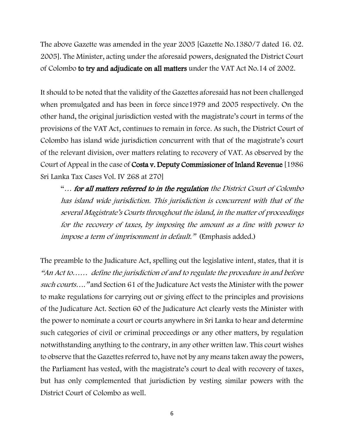The above Gazette was amended in the year 2005 [Gazette No.1380/7 dated 16. 02. 2005]. The Minister, acting under the aforesaid powers, designated the District Court of Colombo to try and adjudicate on all matters under the VAT Act No.14 of 2002.

It should to be noted that the validity of the Gazettes aforesaid has not been challenged when promulgated and has been in force since1979 and 2005 respectively. On the other hand, the original jurisdiction vested with the magistrate's court in terms of the provisions of the VAT Act, continues to remain in force. As such, the District Court of Colombo has island wide jurisdiction concurrent with that of the magistrate's court of the relevant division, over matters relating to recovery of VAT. As observed by the Court of Appeal in the case of Costa v. Deputy Commissioner of Inland Revenue [1986 Sri Lanka Tax Cases Vol. IV 268 at 270]

"… for all matters referred to in the regulation the District Court of Colombo has island wide jurisdiction. This jurisdiction is concurrent with that of the several Magistrate's Courts throughout the island, in the matter of proceedings for the recovery of taxes, by imposing the amount as a fine with power to impose a term of imprisonment in default." (Emphasis added.)

The preamble to the Judicature Act, spelling out the legislative intent, states, that it is "An Act to…… define the jurisdiction of and to regulate the procedure in and before such courts…." and Section 61 of the Judicature Act vests the Minister with the power to make regulations for carrying out or giving effect to the principles and provisions of the Judicature Act. Section 60 of the Judicature Act clearly vests the Minister with the power to nominate a court or courts anywhere in Sri Lanka to hear and determine such categories of civil or criminal proceedings or any other matters, by regulation notwithstanding anything to the contrary, in any other written law. This court wishes to observe that the Gazettes referred to, have not by any means taken away the powers, the Parliament has vested, with the magistrate's court to deal with recovery of taxes, but has only complemented that jurisdiction by vesting similar powers with the District Court of Colombo as well.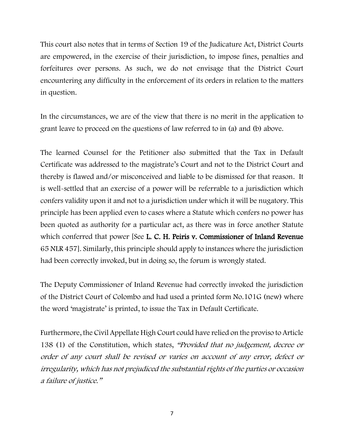This court also notes that in terms of Section 19 of the Judicature Act, District Courts are empowered, in the exercise of their jurisdiction, to impose fines, penalties and forfeitures over persons. As such, we do not envisage that the District Court encountering any difficulty in the enforcement of its orders in relation to the matters in question.

In the circumstances, we are of the view that there is no merit in the application to grant leave to proceed on the questions of law referred to in (a) and (b) above.

The learned Counsel for the Petitioner also submitted that the Tax in Default Certificate was addressed to the magistrate's Court and not to the District Court and thereby is flawed and/or misconceived and liable to be dismissed for that reason. It is well-settled that an exercise of a power will be referrable to a jurisdiction which confers validity upon it and not to a jurisdiction under which it will be nugatory. This principle has been applied even to cases where a Statute which confers no power has been quoted as authority for a particular act, as there was in force another Statute which conferred that power [See **L. C. H. Peiris v. Commissioner of Inland Revenue** 65 NLR 457]. Similarly, this principle should apply to instances where the jurisdiction had been correctly invoked, but in doing so, the forum is wrongly stated.

The Deputy Commissioner of Inland Revenue had correctly invoked the jurisdiction of the District Court of Colombo and had used a printed form No.101G (new) where the word 'magistrate' is printed, to issue the Tax in Default Certificate.

Furthermore, the Civil Appellate High Court could have relied on the proviso to Article 138 (1) of the Constitution, which states, "Provided that no judgement, decree or order of any court shall be revised or varies on account of any error, defect or irregularity, which has not prejudiced the substantial rights of the parties or occasion a failure of justice."